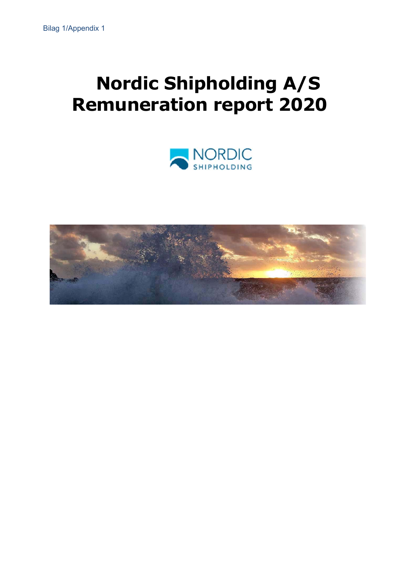# **Nordic Shipholding A/S Remuneration report 2020**



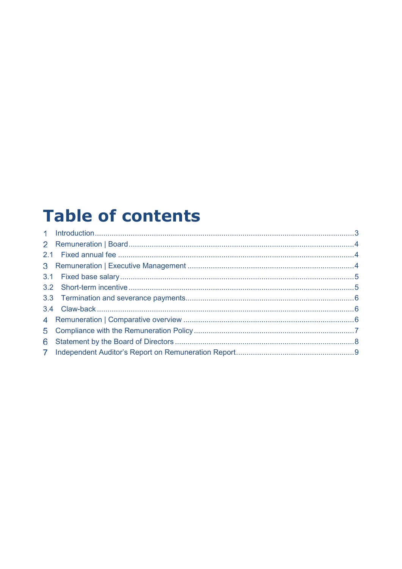## **Table of contents**

| 6 |  |
|---|--|
|   |  |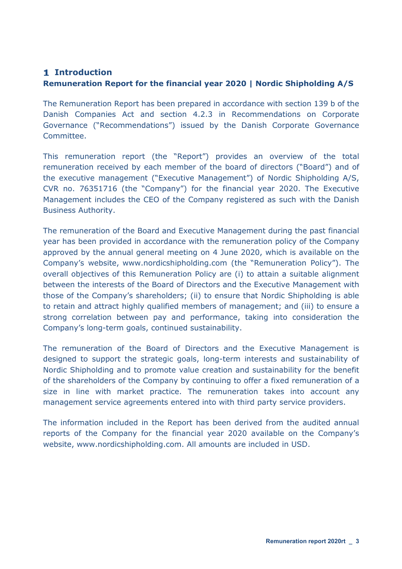#### **Introduction**

#### **Remuneration Report for the financial year 2020 | Nordic Shipholding A/S**

The Remuneration Report has been prepared in accordance with section 139 b of the Danish Companies Act and section 4.2.3 in Recommendations on Corporate Governance ("Recommendations") issued by the Danish Corporate Governance Committee.

This remuneration report (the "Report") provides an overview of the total remuneration received by each member of the board of directors ("Board") and of the executive management ("Executive Management") of Nordic Shipholding A/S, CVR no. 76351716 (the "Company") for the financial year 2020. The Executive Management includes the CEO of the Company registered as such with the Danish Business Authority.

The remuneration of the Board and Executive Management during the past financial year has been provided in accordance with the remuneration policy of the Company approved by the annual general meeting on 4 June 2020, which is available on the Company's website, www.nordicshipholding.com (the "Remuneration Policy"). The overall objectives of this Remuneration Policy are (i) to attain a suitable alignment between the interests of the Board of Directors and the Executive Management with those of the Company's shareholders; (ii) to ensure that Nordic Shipholding is able to retain and attract highly qualified members of management; and (iii) to ensure a strong correlation between pay and performance, taking into consideration the Company's long-term goals, continued sustainability.

The remuneration of the Board of Directors and the Executive Management is designed to support the strategic goals, long-term interests and sustainability of Nordic Shipholding and to promote value creation and sustainability for the benefit of the shareholders of the Company by continuing to offer a fixed remuneration of a size in line with market practice. The remuneration takes into account any management service agreements entered into with third party service providers.

The information included in the Report has been derived from the audited annual reports of the Company for the financial year 2020 available on the Company's website, www.nordicshipholding.com. All amounts are included in USD.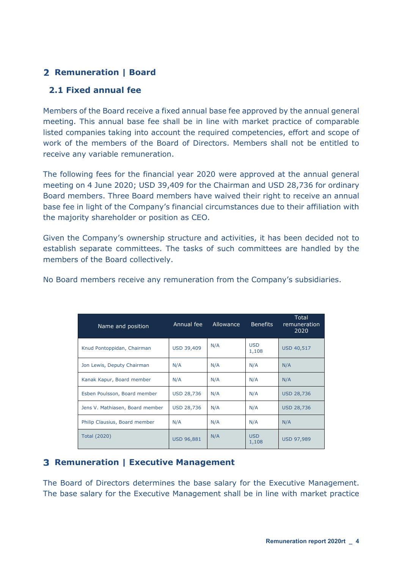## **Remuneration | Board**

## **2.1 Fixed annual fee**

Members of the Board receive a fixed annual base fee approved by the annual general meeting. This annual base fee shall be in line with market practice of comparable listed companies taking into account the required competencies, effort and scope of work of the members of the Board of Directors. Members shall not be entitled to receive any variable remuneration.

The following fees for the financial year 2020 were approved at the annual general meeting on 4 June 2020; USD 39,409 for the Chairman and USD 28,736 for ordinary Board members. Three Board members have waived their right to receive an annual base fee in light of the Company's financial circumstances due to their affiliation with the majority shareholder or position as CEO.

Given the Company's ownership structure and activities, it has been decided not to establish separate committees. The tasks of such committees are handled by the members of the Board collectively.

| Name and position               | Annual fee        | Allowance | <b>Benefits</b>     | Total<br>remuneration<br>2020 |
|---------------------------------|-------------------|-----------|---------------------|-------------------------------|
| Knud Pontoppidan, Chairman      | <b>USD 39,409</b> | N/A       | <b>USD</b><br>1,108 | <b>USD 40,517</b>             |
| Jon Lewis, Deputy Chairman      | N/A               | N/A       | N/A                 | N/A                           |
| Kanak Kapur, Board member       | N/A               | N/A       | N/A                 | N/A                           |
| Esben Poulsson, Board member    | <b>USD 28,736</b> | N/A       | N/A                 | <b>USD 28,736</b>             |
| Jens V. Mathiasen, Board member | <b>USD 28,736</b> | N/A       | N/A                 | <b>USD 28,736</b>             |
| Philip Clausius, Board member   | N/A               | N/A       | N/A                 | N/A                           |
| <b>Total (2020)</b>             | <b>USD 96,881</b> | N/A       | <b>USD</b><br>1,108 | <b>USD 97,989</b>             |

No Board members receive any remuneration from the Company's subsidiaries.

## **Remuneration | Executive Management**

The Board of Directors determines the base salary for the Executive Management. The base salary for the Executive Management shall be in line with market practice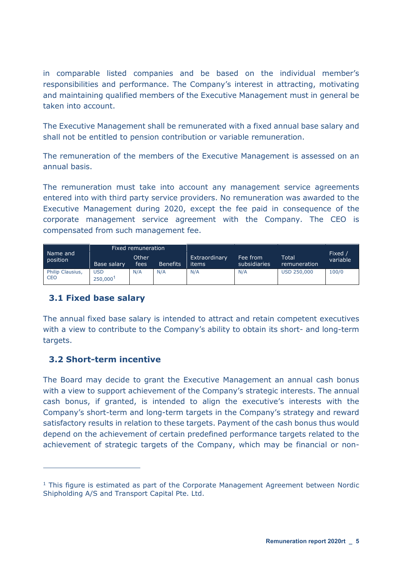in comparable listed companies and be based on the individual member's responsibilities and performance. The Company's interest in attracting, motivating and maintaining qualified members of the Executive Management must in general be taken into account.

The Executive Management shall be remunerated with a fixed annual base salary and shall not be entitled to pension contribution or variable remuneration.

The remuneration of the members of the Executive Management is assessed on an annual basis.

The remuneration must take into account any management service agreements entered into with third party service providers. No remuneration was awarded to the Executive Management during 2020, except the fee paid in consequence of the corporate management service agreement with the Company. The CEO is compensated from such management fee.

|                                | Fixed remuneration    |                |                 |                        |                          |                       |                    |  |
|--------------------------------|-----------------------|----------------|-----------------|------------------------|--------------------------|-----------------------|--------------------|--|
| Name and<br>position           | Base salary           | Other<br>fees' | <b>Benefits</b> | Extraordinary<br>items | Fee from<br>subsidiaries | Total<br>remuneration | Fixed,<br>variable |  |
| Philip Clausius,<br><b>CEO</b> | <b>USD</b><br>250,000 | N/A            | N/A             | N/A                    | N/A                      | <b>USD 250,000</b>    | 100/0              |  |

## **3.1 Fixed base salary**

The annual fixed base salary is intended to attract and retain competent executives with a view to contribute to the Company's ability to obtain its short- and long-term targets.

## **3.2 Short-term incentive**

 $\overline{a}$ 

The Board may decide to grant the Executive Management an annual cash bonus with a view to support achievement of the Company's strategic interests. The annual cash bonus, if granted, is intended to align the executive's interests with the Company's short-term and long-term targets in the Company's strategy and reward satisfactory results in relation to these targets. Payment of the cash bonus thus would depend on the achievement of certain predefined performance targets related to the achievement of strategic targets of the Company, which may be financial or non-

 $1$  This figure is estimated as part of the Corporate Management Agreement between Nordic Shipholding A/S and Transport Capital Pte. Ltd.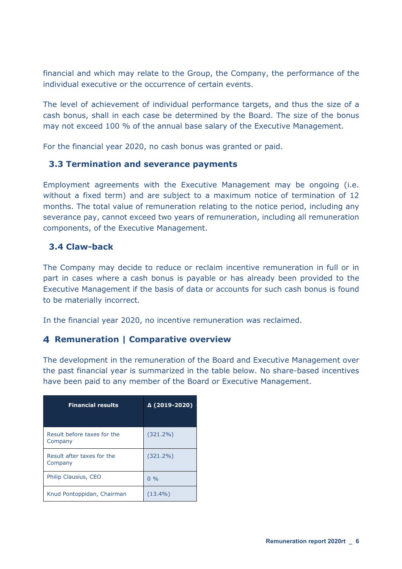financial and which may relate to the Group, the Company, the performance of the individual executive or the occurrence of certain events.

The level of achievement of individual performance targets, and thus the size of a cash bonus, shall in each case be determined by the Board. The size of the bonus may not exceed 100 % of the annual base salary of the Executive Management.

For the financial year 2020, no cash bonus was granted or paid.

#### **3.3 Termination and severance payments**

Employment agreements with the Executive Management may be ongoing (i.e. without a fixed term) and are subject to a maximum notice of termination of 12 months. The total value of remuneration relating to the notice period, including any severance pay, cannot exceed two years of remuneration, including all remuneration components, of the Executive Management.

#### **3.4 Claw-back**

The Company may decide to reduce or reclaim incentive remuneration in full or in part in cases where a cash bonus is payable or has already been provided to the Executive Management if the basis of data or accounts for such cash bonus is found to be materially incorrect.

In the financial year 2020, no incentive remuneration was reclaimed.

#### **Remuneration | Comparative overview**

The development in the remuneration of the Board and Executive Management over the past financial year is summarized in the table below. No share-based incentives have been paid to any member of the Board or Executive Management.

| <b>Financial results</b>               | Δ (2019-2020) |
|----------------------------------------|---------------|
| Result before taxes for the<br>Company | $(321.2\%)$   |
| Result after taxes for the<br>Company  | $(321.2\%)$   |
| Philip Clausius, CEO                   | $0\%$         |
| Knud Pontoppidan, Chairman             | $(13.4\%)$    |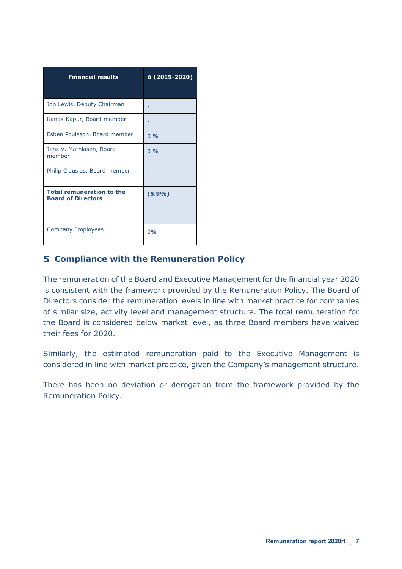| <b>Financial results</b>                                      | Δ (2019-2020) |
|---------------------------------------------------------------|---------------|
| Jon Lewis, Deputy Chairman                                    |               |
| Kanak Kapur, Board member                                     |               |
| Esben Poulsson, Board member                                  | $0\%$         |
| Jens V. Mathiasen, Board<br>member                            | 0.96          |
| Philip Clausius, Board member                                 |               |
| <b>Total remuneration to the</b><br><b>Board of Directors</b> | (5.9%)        |
| <b>Company Employees</b>                                      | 0%            |

## **Compliance with the Remuneration Policy**

The remuneration of the Board and Executive Management for the financial year 2020 is consistent with the framework provided by the Remuneration Policy. The Board of Directors consider the remuneration levels in line with market practice for companies of similar size, activity level and management structure. The total remuneration for the Board is considered below market level, as three Board members have waived their fees for 2020.

Similarly, the estimated remuneration paid to the Executive Management is considered in line with market practice, given the Company's management structure.

There has been no deviation or derogation from the framework provided by the Remuneration Policy.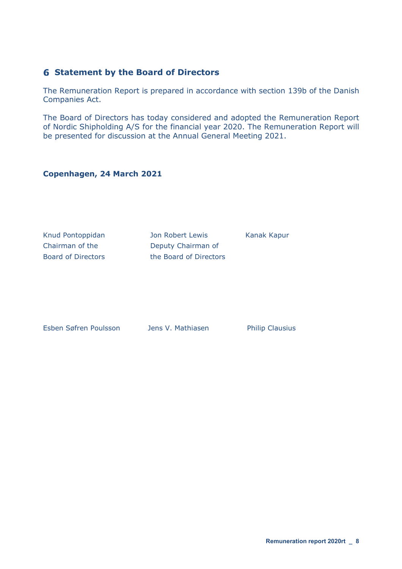#### **Statement by the Board of Directors**

The Remuneration Report is prepared in accordance with section 139b of the Danish Companies Act.

The Board of Directors has today considered and adopted the Remuneration Report of Nordic Shipholding A/S for the financial year 2020. The Remuneration Report will be presented for discussion at the Annual General Meeting 2021.

#### **Copenhagen, 24 March 2021**

Knud Pontoppidan Manah Jon Robert Lewis Kanak Kapur

Chairman of the Deputy Chairman of Board of Directors the Board of Directors

Esben Søfren Poulsson Jens V. Mathiasen Philip Clausius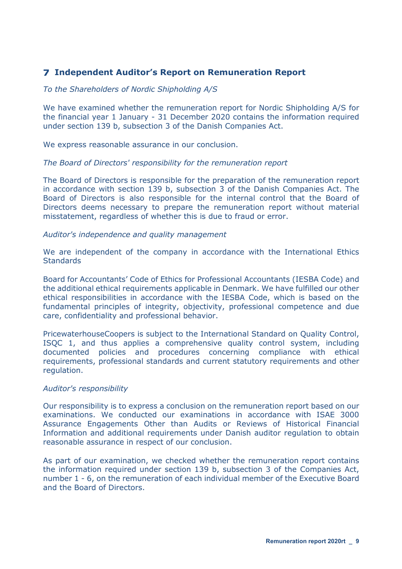## **Independent Auditor's Report on Remuneration Report**

#### *To the Shareholders of Nordic Shipholding A/S*

We have examined whether the remuneration report for Nordic Shipholding A/S for the financial year 1 January - 31 December 2020 contains the information required under section 139 b, subsection 3 of the Danish Companies Act.

We express reasonable assurance in our conclusion.

#### *The Board of Directors' responsibility for the remuneration report*

The Board of Directors is responsible for the preparation of the remuneration report in accordance with section 139 b, subsection 3 of the Danish Companies Act. The Board of Directors is also responsible for the internal control that the Board of Directors deems necessary to prepare the remuneration report without material misstatement, regardless of whether this is due to fraud or error.

#### *Auditor's independence and quality management*

We are independent of the company in accordance with the International Ethics **Standards** 

Board for Accountants' Code of Ethics for Professional Accountants (IESBA Code) and the additional ethical requirements applicable in Denmark. We have fulfilled our other ethical responsibilities in accordance with the IESBA Code, which is based on the fundamental principles of integrity, objectivity, professional competence and due care, confidentiality and professional behavior.

PricewaterhouseCoopers is subject to the International Standard on Quality Control, ISQC 1, and thus applies a comprehensive quality control system, including documented policies and procedures concerning compliance with ethical requirements, professional standards and current statutory requirements and other regulation.

#### *Auditor's responsibility*

Our responsibility is to express a conclusion on the remuneration report based on our examinations. We conducted our examinations in accordance with ISAE 3000 Assurance Engagements Other than Audits or Reviews of Historical Financial Information and additional requirements under Danish auditor regulation to obtain reasonable assurance in respect of our conclusion.

As part of our examination, we checked whether the remuneration report contains the information required under section 139 b, subsection 3 of the Companies Act, number 1 - 6, on the remuneration of each individual member of the Executive Board and the Board of Directors.